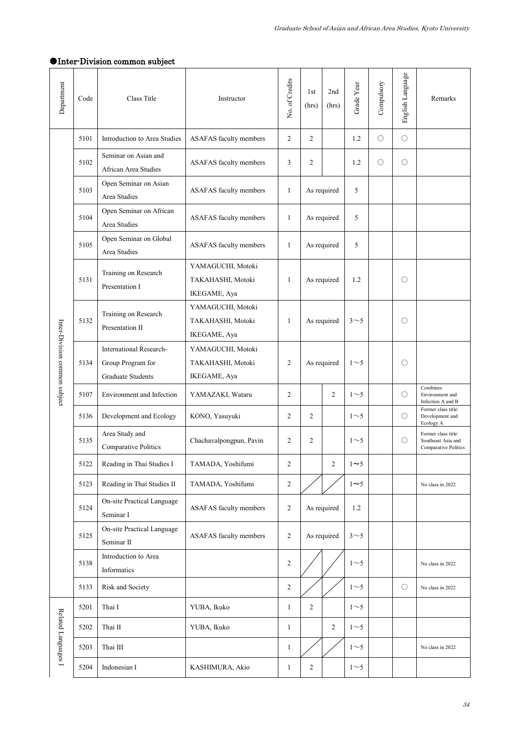| Department                    | Code | Class Title                                                              | Instructor                                             | No. of Credits | 1st<br>(hrs)   | 2nd<br>(hrs)   | Grade Year     | Compulsory | English Language | Remarks                                                           |
|-------------------------------|------|--------------------------------------------------------------------------|--------------------------------------------------------|----------------|----------------|----------------|----------------|------------|------------------|-------------------------------------------------------------------|
| Inter-Division common subject | 5101 | Introduction to Area Studies                                             | ASAFAS faculty members                                 | $\overline{2}$ | $\overline{2}$ |                | 1.2            | О          | $\bigcirc$       |                                                                   |
|                               | 5102 | Seminar on Asian and<br>African Area Studies                             | <b>ASAFAS</b> faculty members                          | 3              | $\overline{c}$ |                | 1.2            | Ο          | $\bigcirc$       |                                                                   |
|                               | 5103 | Open Seminar on Asian<br>Area Studies                                    | ASAFAS faculty members                                 | $\mathbf{1}$   | As required    |                | 5              |            |                  |                                                                   |
|                               | 5104 | Open Seminar on African<br>Area Studies                                  | <b>ASAFAS</b> faculty members                          | 1              | As required    |                | 5              |            |                  |                                                                   |
|                               | 5105 | Open Seminar on Global<br>Area Studies                                   | ASAFAS faculty members                                 | 1              | As required    |                | 5              |            |                  |                                                                   |
|                               | 5131 | Training on Research<br>Presentation I                                   | YAMAGUCHI, Motoki<br>TAKAHASHI, Motoki<br>IKEGAME, Aya | 1              | As required    |                | 1.2            |            | O                |                                                                   |
|                               | 5132 | Training on Research<br>Presentation II                                  | YAMAGUCHI, Motoki<br>TAKAHASHI, Motoki<br>IKEGAME, Aya | 1              | As required    |                | 3 <sub>5</sub> |            | $\bigcirc$       |                                                                   |
|                               | 5134 | International Research-<br>Group Program for<br><b>Graduate Students</b> | YAMAGUCHI, Motoki<br>TAKAHASHI, Motoki<br>IKEGAME, Aya | $\overline{2}$ | As required    |                | $1\sim$ 5      |            | O                |                                                                   |
|                               | 5107 | Environment and Infection                                                | YAMAZAKI, Wataru                                       | 2              |                | 2              | $1\sim$ 5      |            | $\bigcirc$       | Combines<br>Environment and<br>Infection A and B                  |
|                               | 5136 | Development and Ecology                                                  | KONO, Yasuyuki                                         | $\mathfrak{2}$ | $\overline{2}$ |                | $1\sim$ 5      |            | $\bigcirc$       | Former class title:<br>Development and<br>Ecology A               |
|                               | 5135 | Area Study and<br>Comparative Politics                                   | Chachavalpongpun, Pavin                                | $\overline{2}$ | $\overline{2}$ |                | $1\sim5$       |            | O                | Former class title:<br>Southeast Asia and<br>Comparative Politics |
|                               | 5122 | Reading in Thai Studies I                                                | TAMADA, Yoshifumi                                      | $\mathbf{2}$   |                | $\overline{2}$ | $1 \sim 5$     |            |                  |                                                                   |
|                               | 5123 | Reading in Thai Studies II                                               | TAMADA, Yoshifumi                                      | $\sqrt{2}$     |                |                | $1 \sim 5$     |            |                  | No class in 2022                                                  |
|                               | 5124 | On-site Practical Language<br>Seminar I                                  | ASAFAS faculty members                                 | 2              | As required    |                | 1.2            |            |                  |                                                                   |
|                               | 5125 | On-site Practical Language<br>Seminar II                                 | <b>ASAFAS</b> faculty members                          | $\overline{2}$ | As required    |                | $3\sim5$       |            |                  |                                                                   |
|                               | 5138 | Introduction to Area<br>Informatics                                      |                                                        | $\mathfrak{2}$ |                |                | $1\sim$ 5      |            |                  | No class in 2022                                                  |
|                               | 5133 | Risk and Society                                                         |                                                        | $\mathfrak{2}$ |                |                | $1\sim$ 5      |            | $\circ$          | No class in 2022                                                  |
| Related Languages I           | 5201 | Thai I                                                                   | YUBA, Ikuko                                            | $\mathbf{1}$   | $\overline{c}$ |                | $1\sim5$       |            |                  |                                                                   |
|                               | 5202 | Thai II                                                                  | YUBA, Ikuko                                            | $\mathbf{1}$   |                | $\overline{c}$ | $1\sim$ 5      |            |                  |                                                                   |
|                               | 5203 | Thai III                                                                 |                                                        | $\mathbf{1}$   |                |                | $1\sim$ 5      |            |                  | No class in 2022                                                  |
|                               | 5204 | Indonesian I                                                             | KASHIMURA, Akio                                        | $\mathbf{1}$   | $\mathfrak{2}$ |                | $1\sim$ 5      |            |                  |                                                                   |

## ●Inter-Division common subject